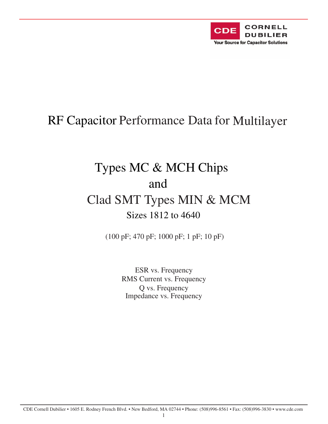

## RF Capacitor Performance Data for Multilayer

# Types MC & MCH Chips and Clad SMT Types MIN & MCM Sizes 1812 to 4640

(100 pF; 470 pF; 1000 pF; 1 pF; 10 pF)

ESR vs. Frequency RMS Current vs. Frequency Q vs. Frequency Impedance vs. Frequency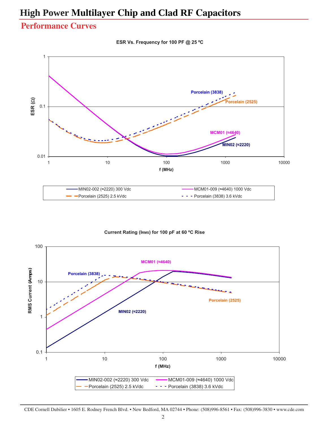#### **Performance Curves**

**ESR Vs. Frequency for 100 PF @ 25 ºC** 



**Current Rating (IRMS) for 100 pF at 60 ºC Rise** 



CDE Cornell Dubilier • 1605 E. Rodney French Blvd. • New Bedford, MA 02744 • Phone: (508)996-8561 • Fax: (508)996-3830 • www.cde.com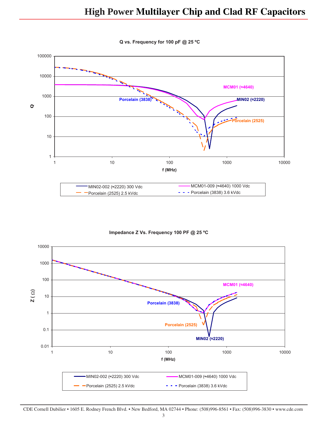

**Q vs. Frequency for 100 pF @ 25 ºC** 



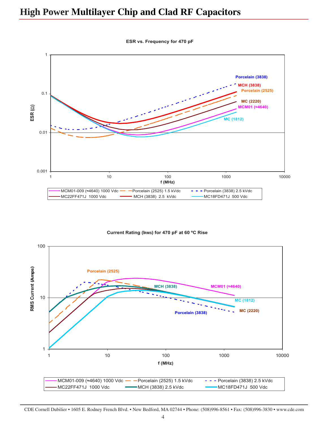1 **Porcelain (3838) MCM01 (�4640) MC (1812) MCH (3838) MC (2220) Porcelain (2525)**  1 10 100 1000 10000 **f (MHz)**  MCM01-009 ( $\approx$ 4640) 1000 Vdc **- Porcelain (2525) 1.5 kVdc** Porcelain (3838) 2.5 kVdc MC22FF471J 1000 Vdc **- MCH (3838) 2.5 kVdc** - MC18FD471J 500 Vdc 0.1 **E SR (**�**)**  0.01 0.001

**ESR vs. Frequency for 470 pF** 

#### **Current Rating (IRMS) for 470 pF at 60 ºC Rise**



CDE Cornell Dubilier • 1605 E. Rodney French Blvd. • New Bedford, MA 02744 • Phone: (508)996-8561 • Fax: (508)996-3830 • www.cde.com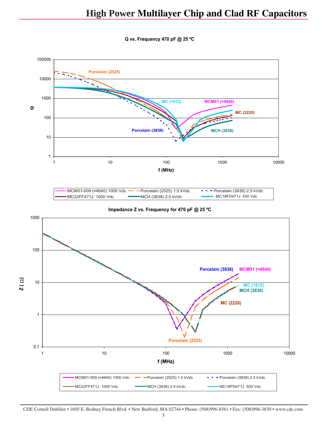**Q vs. Frequency 470 pF @ 25 ºC** 



CDE Cornell Dubilier • 1605 E. Rodney French Blvd. • New Bedford, MA 02744 • Phone: (508)996-8561 • Fax: (508)996-3830 • www.cde.com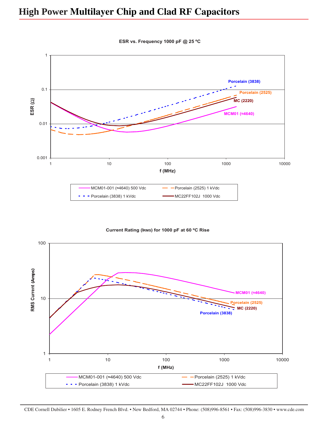

**ESR vs. Frequency 1000 pF @ 25 ºC** 

**Current Rating (IRMS) for 1000 pF at 60 ºC Rise** 



CDE Cornell Dubilier • 1605 E. Rodney French Blvd. • New Bedford, MA 02744 • Phone: (508)996-8561 • Fax: (508)996-3830 • www.cde.com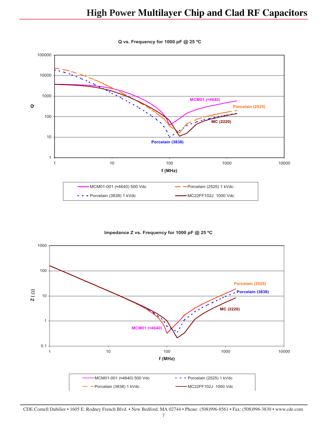



**Impedance Z vs. Frequency for 1000 pF @ 25 ºC** 

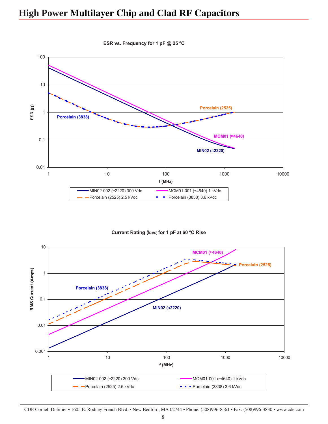

**ESR vs. Frequency for 1 pF @ 25 ºC** 

**Current Rating (IRMS) for 1 pF at 60 ºC Rise** 

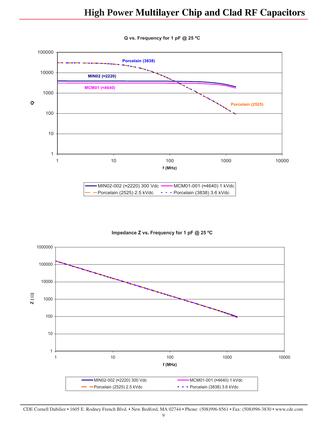

**Q vs. Frequency for 1 pF @ 25 ºC** 

**Impedance Z vs. Frequency for 1 pF @ 25 ºC** 

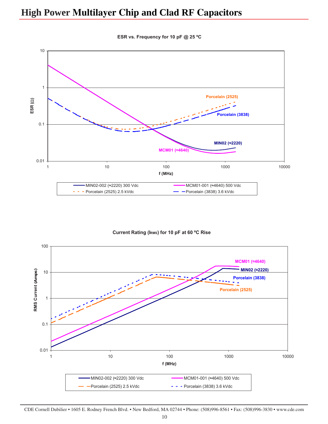

**ESR vs. Frequency for 10 pF @ 25 ºC** 

**Current Rating (IRMS) for 10 pF at 60 ºC Rise** 



CDE Cornell Dubilier • 1605 E. Rodney French Blvd. • New Bedford, MA 02744 • Phone: (508)996-8561 • Fax: (508)996-3830 • www.cde.com